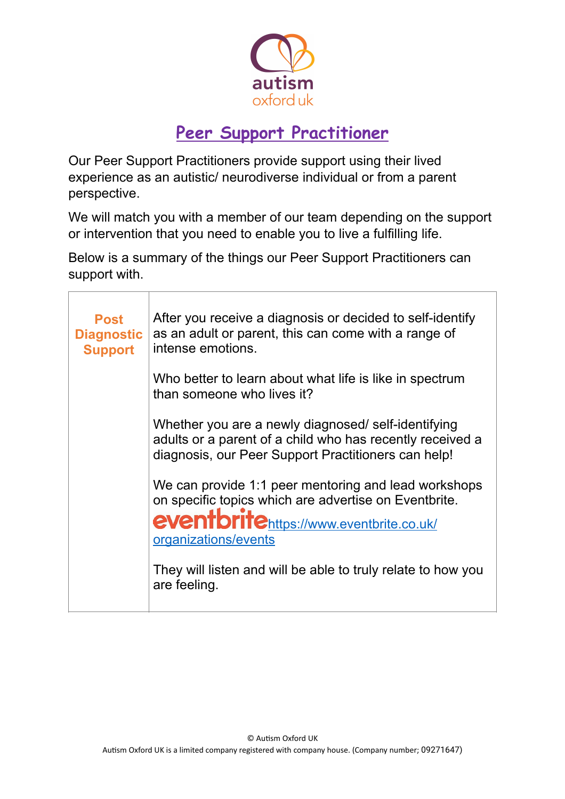

## **Peer Support Practitioner**

Our Peer Support Practitioners provide support using their lived experience as an autistic/ neurodiverse individual or from a parent perspective.

We will match you with a member of our team depending on the support or intervention that you need to enable you to live a fulfilling life.

Below is a summary of the things our Peer Support Practitioners can support with.

| <b>Post</b><br><b>Diagnostic</b><br><b>Support</b> | After you receive a diagnosis or decided to self-identify<br>as an adult or parent, this can come with a range of<br>intense emotions.                                           |
|----------------------------------------------------|----------------------------------------------------------------------------------------------------------------------------------------------------------------------------------|
|                                                    | Who better to learn about what life is like in spectrum<br>than someone who lives it?                                                                                            |
|                                                    | Whether you are a newly diagnosed/self-identifying<br>adults or a parent of a child who has recently received a<br>diagnosis, our Peer Support Practitioners can help!           |
|                                                    | We can provide 1:1 peer mentoring and lead workshops<br>on specific topics which are advertise on Eventbrite.<br>eventbritehttps://www.eventbrite.co.uk/<br>organizations/events |
|                                                    | They will listen and will be able to truly relate to how you<br>are feeling.                                                                                                     |